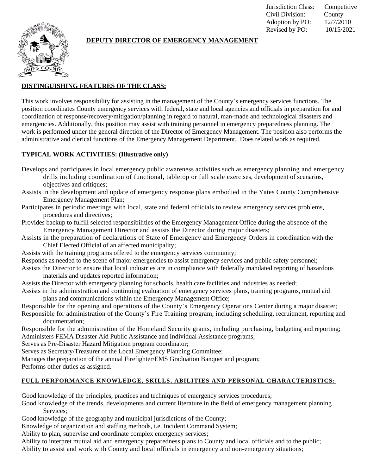Jurisdiction Class: Competitive Civil Division: County Adoption by PO: 12/7/2010 Revised by PO: 10/15/2021



## **DEPUTY DIRECTOR OF EMERGENCY MANAGEMENT**

# **DISTINGUISHING FEATURES OF THE CLASS:**

This work involves responsibility for assisting in the management of the County's emergency services functions. The position coordinates County emergency services with federal, state and local agencies and officials in preparation for and coordination of response/recovery/mitigation/planning in regard to natural, man-made and technological disasters and emergencies. Additionally, this position may assist with training personnel in emergency preparedness planning. The work is performed under the general direction of the Director of Emergency Management. The position also performs the administrative and clerical functions of the Emergency Management Department. Does related work as required.

#### **TYPICAL WORK ACTIVITIES: (Illustrative only)**

- Develops and participates in local emergency public awareness activities such as emergency planning and emergency drills including coordination of functional, tabletop or full scale exercises, development of scenarios, objectives and critiques;
- Assists in the development and update of emergency response plans embodied in the Yates County Comprehensive Emergency Management Plan;
- Participates in periodic meetings with local, state and federal officials to review emergency services problems, procedures and directives;
- Provides backup to fulfill selected responsibilities of the Emergency Management Office during the absence of the Emergency Management Director and assists the Director during major disasters;
- Assists in the preparation of declarations of State of Emergency and Emergency Orders in coordination with the Chief Elected Official of an affected municipality;
- Assists with the training programs offered to the emergency services community;
- Responds as needed to the scene of major emergencies to assist emergency services and public safety personnel;
- Assists the Director to ensure that local industries are in compliance with federally mandated reporting of hazardous materials and updates reported information;
- Assists the Director with emergency planning for schools, health care facilities and industries as needed;
- Assists in the administration and continuing evaluation of emergency services plans, training programs, mutual aid plans and communications within the Emergency Management Office;
- Responsible for the opening and operations of the County's Emergency Operations Center during a major disaster; Responsible for administration of the County's Fire Training program, including scheduling, recruitment, reporting and documentation;
- Responsible for the administration of the Homeland Security grants, including purchasing, budgeting and reporting; Administers FEMA Disaster Aid Public Assistance and Individual Assistance programs;
- Serves as Pre-Disaster Hazard Mitigation program coordinator;
- Serves as Secretary/Treasurer of the Local Emergency Planning Committee;
- Manages the preparation of the annual Firefighter/EMS Graduation Banquet and program;
- Performs other duties as assigned.

#### **FULL PERFORMANCE KNOWLEDGE, SKILLS, ABILITIES AND PERSONAL CHARACTERISTICS:**

Good knowledge of the principles, practices and techniques of emergency services procedures;

- Good knowledge of the trends, developments and current literature in the field of emergency management planning Services:
- Good knowledge of the geography and municipal jurisdictions of the County;
- Knowledge of organization and staffing methods, i.e. Incident Command System;
- Ability to plan, supervise and coordinate complex emergency services;
- Ability to interpret mutual aid and emergency preparedness plans to County and local officials and to the public; Ability to assist and work with County and local officials in emergency and non-emergency situations;